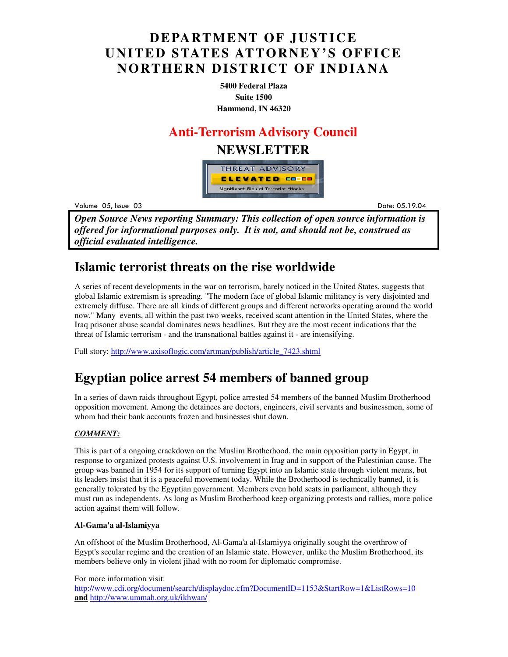# **DEPARTMENT OF JUSTICE UNITED STATES ATTORNEY'S OFFICE NORTHERN DISTRICT OF INDIANA**

**5400 Federal Plaza Suite 1500 Hammond, IN 46320**

## **Anti-Terrorism Advisory Council**

## **NEWSLETTER**



Volume 05 example to the contract of the contract of the contract of the contract of the contract of the contract of the contract of the contract of the contract of the contract of the contract of the contract of the contract of the

Date: 05.19.04

*Open Source News reporting Summary: This collection of open source information is offered for informational purposes only. It is not, and should not be, construed as official evaluated intelligence.*

## **Islamic terrorist threats on the rise worldwide**

A series of recent developments in the war on terrorism, barely noticed in the United States, suggests that global Islamic extremism is spreading. "The modern face of global Islamic militancy is very disjointed and extremely diffuse. There are all kinds of different groups and different networks operating around the world now." Many events, all within the past two weeks, received scant attention in the United States, where the Iraq prisoner abuse scandal dominates news headlines. But they are the most recent indications that the threat of Islamic terrorism - and the transnational battles against it - are intensifying.

Full story: http://www.axisoflogic.com/artman/publish/article\_7423.shtml

# **Egyptian police arrest 54 members of banned group**

In a series of dawn raids throughout Egypt, police arrested 54 members of the banned Muslim Brotherhood opposition movement. Among the detainees are doctors, engineers, civil servants and businessmen, some of whom had their bank accounts frozen and businesses shut down.

### *COMMENT:*

This is part of a ongoing crackdown on the Muslim Brotherhood, the main opposition party in Egypt, in response to organized protests against U.S. involvement in Irag and in support of the Palestinian cause. The group was banned in 1954 for its support of turning Egypt into an Islamic state through violent means, but its leaders insist that it is a peaceful movement today. While the Brotherhood is technically banned, it is generally tolerated by the Egyptian government. Members even hold seats in parliament, although they must run as independents. As long as Muslim Brotherhood keep organizing protests and rallies, more police action against them will follow.

### **Al-Gama'a al-Islamiyya**

An offshoot of the Muslim Brotherhood, Al-Gama'a al-Islamiyya originally sought the overthrow of Egypt's secular regime and the creation of an Islamic state. However, unlike the Muslim Brotherhood, its members believe only in violent jihad with no room for diplomatic compromise.

For more information visit:

http://www.cdi.org/document/search/displaydoc.cfm?DocumentID=1153&StartRow=1&ListRows=10 **and** http://www.ummah.org.uk/ikhwan/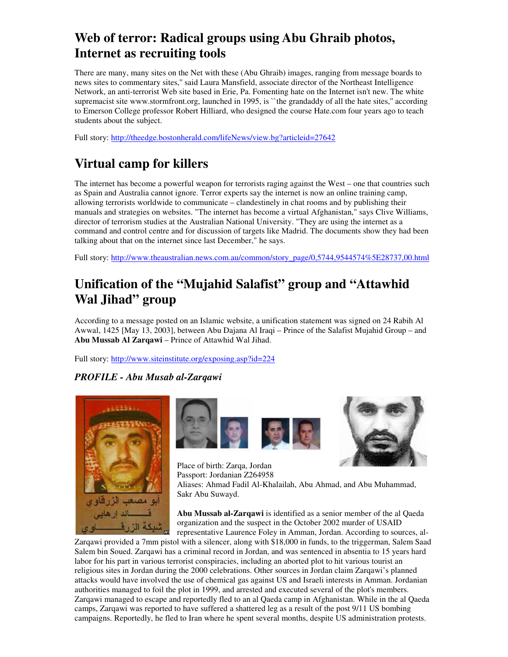# **Web of terror: Radical groups using Abu Ghraib photos, Internet as recruiting tools**

There are many, many sites on the Net with these (Abu Ghraib) images, ranging from message boards to news sites to commentary sites,'' said Laura Mansfield, associate director of the Northeast Intelligence Network, an anti-terrorist Web site based in Erie, Pa. Fomenting hate on the Internet isn't new. The white supremacist site www.stormfront.org, launched in 1995, is "the grandaddy of all the hate sites," according to Emerson College professor Robert Hilliard, who designed the course Hate.com four years ago to teach students about the subject.

Full story: http://theedge.bostonherald.com/lifeNews/view.bg?articleid=27642

# **Virtual camp for killers**

The internet has become a powerful weapon for terrorists raging against the West – one that countries such as Spain and Australia cannot ignore. Terror experts say the internet is now an online training camp, allowing terrorists worldwide to communicate – clandestinely in chat rooms and by publishing their manuals and strategies on websites. "The internet has become a virtual Afghanistan," says Clive Williams, director of terrorism studies at the Australian National University. "They are using the internet as a command and control centre and for discussion of targets like Madrid. The documents show they had been talking about that on the internet since last December," he says.

Full story: http://www.theaustralian.news.com.au/common/story\_page/0,5744,9544574%5E28737,00.html

# **Unification of the "Mujahid Salafist" group and "Attawhid Wal Jihad" group**

According to a message posted on an Islamic website, a unification statement was signed on 24 Rabih Al Awwal, 1425 [May 13, 2003], between Abu Dajana Al Iraqi – Prince of the Salafist Mujahid Group – and **Abu Mussab Al Zarqawi** – Prince of Attawhid Wal Jihad.

Full story: http://www.siteinstitute.org/exposing.asp?id=224

## *PROFILE - Abu Musab al-Zarqawi*





Place of birth: Zarqa, Jordan



Passport: Jordanian Z264958 Aliases: Ahmad Fadil Al-Khalailah, Abu Ahmad, and Abu Muhammad, Sakr Abu Suwayd.

**Abu Mussab al-Zarqawi** is identified as a senior member of the al Qaeda organization and the suspect in the October 2002 murder of USAID representative Laurence Foley in Amman, Jordan. According to sources, al-

Zarqawi provided a 7mm pistol with a silencer, along with \$18,000 in funds, to the triggerman, Salem Saad Salem bin Soued. Zarqawi has a criminal record in Jordan, and was sentenced in absentia to 15 years hard labor for his part in various terrorist conspiracies, including an aborted plot to hit various tourist an religious sites in Jordan during the 2000 celebrations. Other sources in Jordan claim Zarqawi's planned attacks would have involved the use of chemical gas against US and Israeli interests in Amman. Jordanian authorities managed to foil the plot in 1999, and arrested and executed several of the plot's members. Zarqawi managed to escape and reportedly fled to an al Qaeda camp in Afghanistan. While in the al Qaeda camps, Zarqawi was reported to have suffered a shattered leg as a result of the post 9/11 US bombing campaigns. Reportedly, he fled to Iran where he spent several months, despite US administration protests.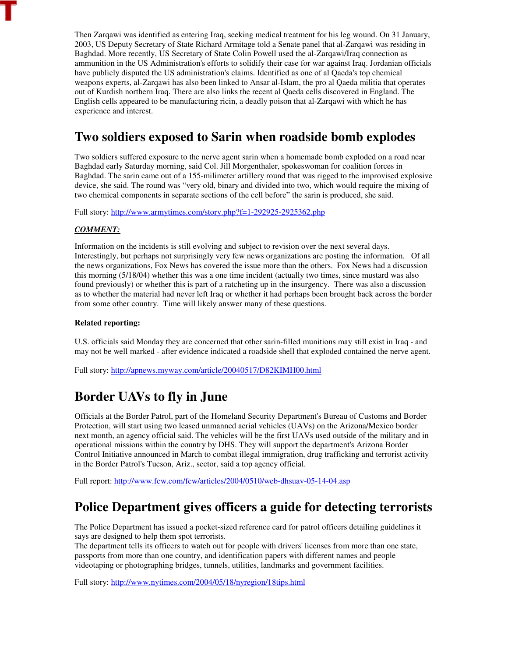Then Zarqawi was identified as entering Iraq, seeking medical treatment for his leg wound. On 31 January, 2003, US Deputy Secretary of State Richard Armitage told a Senate panel that al-Zarqawi was residing in Baghdad. More recently, US Secretary of State Colin Powell used the al-Zarqawi/Iraq connection as ammunition in the US Administration's efforts to solidify their case for war against Iraq. Jordanian officials have publicly disputed the US administration's claims. Identified as one of al Qaeda's top chemical weapons experts, al-Zarqawi has also been linked to Ansar al-Islam, the pro al Qaeda militia that operates out of Kurdish northern Iraq. There are also links the recent al Qaeda cells discovered in England. The English cells appeared to be manufacturing ricin, a deadly poison that al-Zarqawi with which he has experience and interest.

# **Two soldiers exposed to Sarin when roadside bomb explodes**

Two soldiers suffered exposure to the nerve agent sarin when a homemade bomb exploded on a road near Baghdad early Saturday morning, said Col. Jill Morgenthaler, spokeswoman for coalition forces in Baghdad. The sarin came out of a 155-milimeter artillery round that was rigged to the improvised explosive device, she said. The round was "very old, binary and divided into two, which would require the mixing of two chemical components in separate sections of the cell before" the sarin is produced, she said.

Full story: http://www.armytimes.com/story.php?f=1-292925-2925362.php

### *COMMENT:*

Information on the incidents is still evolving and subject to revision over the next several days. Interestingly, but perhaps not surprisingly very few news organizations are posting the information. Of all the news organizations, Fox News has covered the issue more than the others. Fox News had a discussion this morning (5/18/04) whether this was a one time incident (actually two times, since mustard was also found previously) or whether this is part of a ratcheting up in the insurgency. There was also a discussion as to whether the material had never left Iraq or whether it had perhaps been brought back across the border from some other country. Time will likely answer many of these questions.

#### **Related reporting:**

U.S. officials said Monday they are concerned that other sarin-filled munitions may still exist in Iraq - and may not be well marked - after evidence indicated a roadside shell that exploded contained the nerve agent.

Full story: http://apnews.myway.com/article/20040517/D82KIMH00.html

# **Border UAVs to fly in June**

Officials at the Border Patrol, part of the Homeland Security Department's Bureau of Customs and Border Protection, will start using two leased unmanned aerial vehicles (UAVs) on the Arizona/Mexico border next month, an agency official said. The vehicles will be the first UAVs used outside of the military and in operational missions within the country by DHS. They will support the department's Arizona Border Control Initiative announced in March to combat illegal immigration, drug trafficking and terrorist activity in the Border Patrol's Tucson, Ariz., sector, said a top agency official.

Full report: http://www.fcw.com/fcw/articles/2004/0510/web-dhsuav-05-14-04.asp

# **Police Department gives officers a guide for detecting terrorists**

The Police Department has issued a pocket-sized reference card for patrol officers detailing guidelines it says are designed to help them spot terrorists.

The department tells its officers to watch out for people with drivers' licenses from more than one state, passports from more than one country, and identification papers with different names and people videotaping or photographing bridges, tunnels, utilities, landmarks and government facilities.

Full story: http://www.nytimes.com/2004/05/18/nyregion/18tips.html